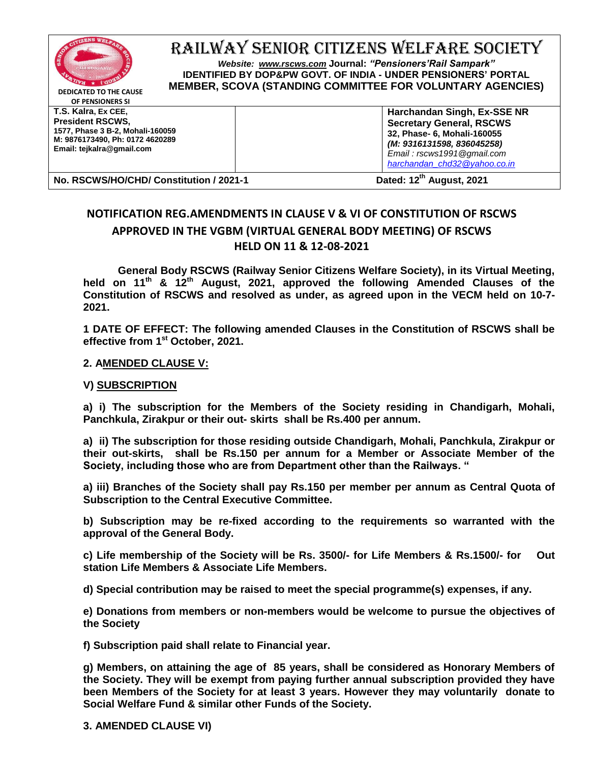

RAILWAY SENIOR CITIZENS WELFARE SOCIETY

*Website: [www.rscws.com](http://www.rscws.com/)* **Journal:** *"Pensioners'Rail Sampark"* **IDENTIFIED BY DOP&PW GOVT. OF INDIA - UNDER PENSIONERS' PORTAL MEMBER, SCOVA (STANDING COMMITTEE FOR VOLUNTARY AGENCIES)**

**DEDICATED TO THE CAUSE OF PENSIONERS SI**

**T.S. Kalra, Ex CEE, President RSCWS, 1577, Phase 3 B-2, Mohali-160059 M: 9876173490, Ph: 0172 4620289 Email: tejkalra@gmail.com**

**Harchandan Singh, Ex-SSE NR Secretary General, RSCWS 32, Phase- 6, Mohali-160055** *(M: 9316131598, 836045258) Email : rscws1991@gmail.com [harchandan\\_chd32@yahoo.co.in](mailto:harchandan_chd32@yahoo.co.in)*

**No. RSCWS/HO/CHD/ Constitution / 2021-1 Dated: 12th August, 2021**

## **NOTIFICATION REG.AMENDMENTS IN CLAUSE V & VI OF CONSTITUTION OF RSCWS APPROVED IN THE VGBM (VIRTUAL GENERAL BODY MEETING) OF RSCWS HELD ON 11 & 12-08-2021**

**General Body RSCWS (Railway Senior Citizens Welfare Society), in its Virtual Meeting, held on 11th & 12th August, 2021, approved the following Amended Clauses of the Constitution of RSCWS and resolved as under, as agreed upon in the VECM held on 10-7- 2021.** 

**1 DATE OF EFFECT: The following amended Clauses in the Constitution of RSCWS shall be effective from 1st October, 2021.**

## **2. AMENDED CLAUSE V:**

## **V) SUBSCRIPTION**

**a) i) The subscription for the Members of the Society residing in Chandigarh, Mohali, Panchkula, Zirakpur or their out- skirts shall be Rs.400 per annum.**

**a) ii) The subscription for those residing outside Chandigarh, Mohali, Panchkula, Zirakpur or their out-skirts, shall be Rs.150 per annum for a Member or Associate Member of the Society, including those who are from Department other than the Railways. "**

**a) iii) Branches of the Society shall pay Rs.150 per member per annum as Central Quota of Subscription to the Central Executive Committee.**

**b) Subscription may be re-fixed according to the requirements so warranted with the approval of the General Body.** 

**c) Life membership of the Society will be Rs. 3500/- for Life Members & Rs.1500/- for Out station Life Members & Associate Life Members.**

**d) Special contribution may be raised to meet the special programme(s) expenses, if any.** 

**e) Donations from members or non-members would be welcome to pursue the objectives of the Society**

**f) Subscription paid shall relate to Financial year.**

**g) Members, on attaining the age of 85 years, shall be considered as Honorary Members of the Society. They will be exempt from paying further annual subscription provided they have been Members of the Society for at least 3 years. However they may voluntarily donate to Social Welfare Fund & similar other Funds of the Society.**

**3. AMENDED CLAUSE VI)**